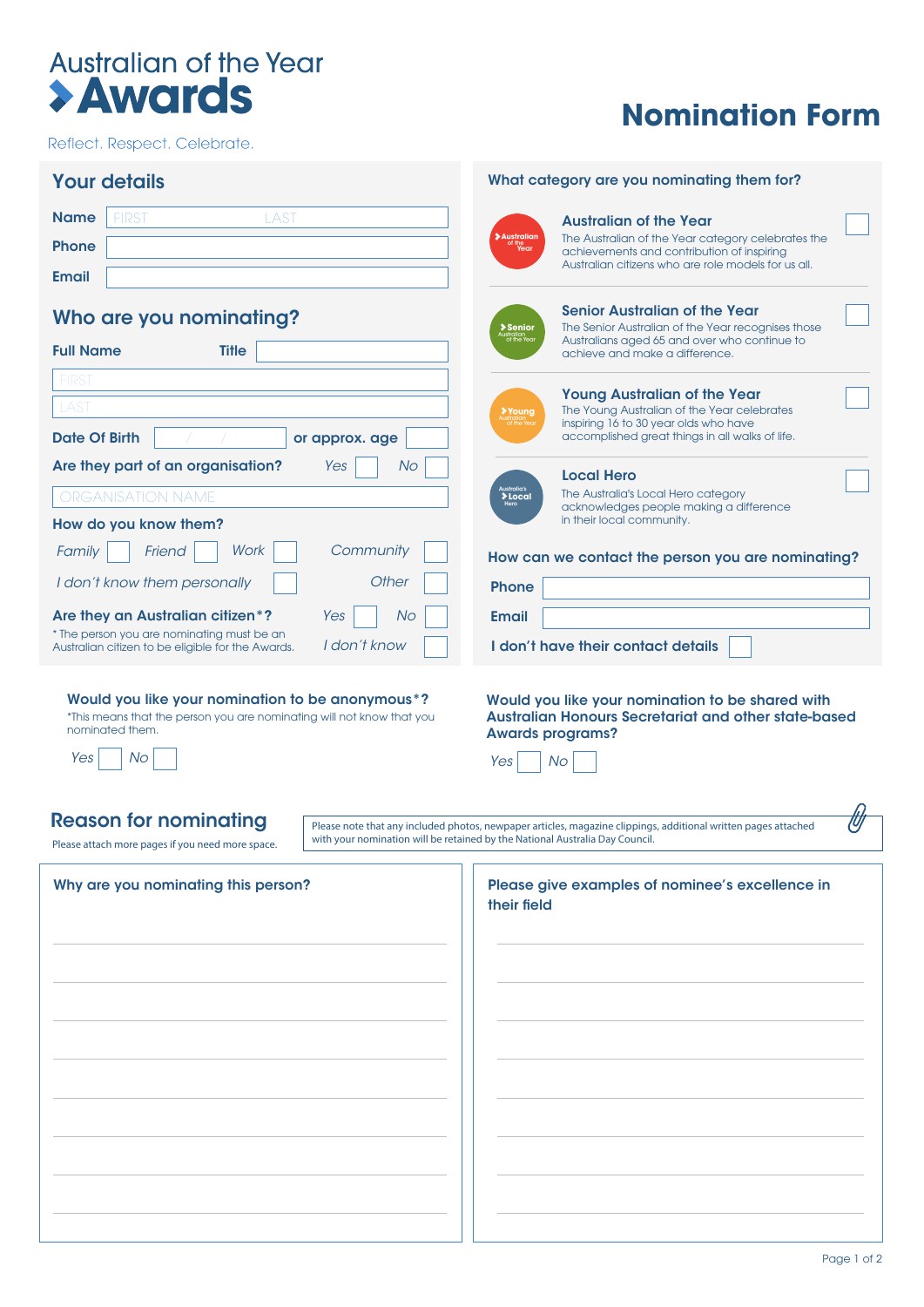# Australian of the Year<br>
> Awards

Reflect. Respect. Celebrate.

## **Nomination Form**

| <b>Your details</b>                                                                                             | What category are you nominating them for?                                                                                                                                             |
|-----------------------------------------------------------------------------------------------------------------|----------------------------------------------------------------------------------------------------------------------------------------------------------------------------------------|
| <b>Name</b><br><b>LAST</b><br><b>FIRST</b>                                                                      | <b>Australian of the Year</b>                                                                                                                                                          |
| <b>Phone</b>                                                                                                    | <b>Australian</b><br>The Australian of the Year category celebrates the<br>of the<br>Year<br>achievements and contribution of inspiring                                                |
| <b>Email</b>                                                                                                    | Australian citizens who are role models for us all.                                                                                                                                    |
| Who are you nominating?                                                                                         | Senior Australian of the Year<br>The Senior Australian of the Year recognises those<br><b>&gt; Senior</b><br>Australian<br>of the Year<br>Australians aged 65 and over who continue to |
| <b>Full Name</b><br><b>Title</b>                                                                                | achieve and make a difference.                                                                                                                                                         |
| <b>FIRST</b>                                                                                                    | <b>Young Australian of the Year</b>                                                                                                                                                    |
| LAST                                                                                                            | The Young Australian of the Year celebrates<br>Young<br>of the Year<br>inspiring 16 to 30 year olds who have                                                                           |
| <b>Date Of Birth</b><br>or approx. age                                                                          | accomplished great things in all walks of life.                                                                                                                                        |
| Are they part of an organisation?<br><b>No</b><br>Yes                                                           | <b>Local Hero</b>                                                                                                                                                                      |
| <b>ORGANISATION NAME</b>                                                                                        | Australia's<br><b>&gt; Local</b><br>The Australia's Local Hero category<br>acknowledges people making a difference                                                                     |
| How do you know them?                                                                                           | in their local community.                                                                                                                                                              |
| <b>Work</b><br>Community<br>Family<br>Friend                                                                    | How can we contact the person you are nominating?                                                                                                                                      |
| I don't know them personally<br><b>Other</b>                                                                    | <b>Phone</b>                                                                                                                                                                           |
| Are they an Australian citizen*?<br>Yes<br>No                                                                   | <b>Email</b>                                                                                                                                                                           |
| * The person you are nominating must be an<br>I don't know<br>Australian citizen to be eligible for the Awards. | I don't have their contact details                                                                                                                                                     |
| Yes<br>No<br><b>Reason for nominating</b>                                                                       | <b>Awards programs?</b><br><b>No</b><br>Yes<br>Please note that any included photos, newpaper articles, magazine clippings, additional written pages attached                          |
| Please attach more pages if you need more space.                                                                | with your nomination will be retained by the National Australia Day Council.                                                                                                           |
| Why are you nominating this person?                                                                             | Please give examples of nominee's excellence in<br>their field                                                                                                                         |
|                                                                                                                 |                                                                                                                                                                                        |